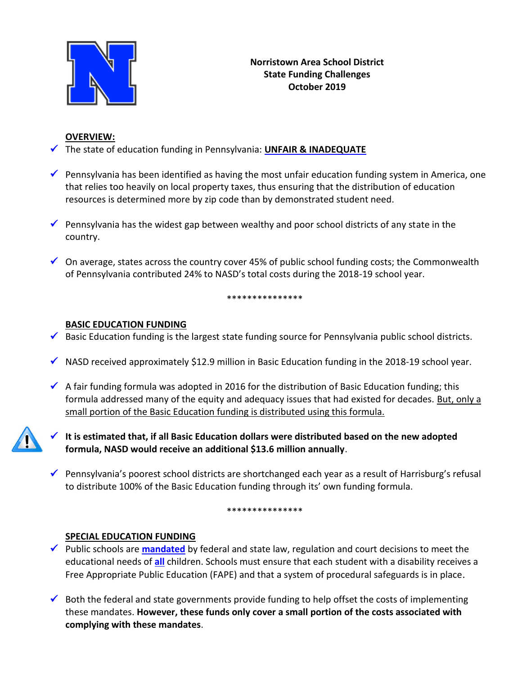

## **OVERVIEW:**

- The state of education funding in Pennsylvania: **UNFAIR & INADEQUATE**
- **Pennsylvania has been identified as having the most unfair education funding system in America, one** that relies too heavily on local property taxes, thus ensuring that the distribution of education resources is determined more by zip code than by demonstrated student need.
- Pennsylvania has the widest gap between wealthy and poor school districts of any state in the country.
- $\checkmark$  On average, states across the country cover 45% of public school funding costs; the Commonwealth of Pennsylvania contributed 24% to NASD's total costs during the 2018-19 school year.

#### \*\*\*\*\*\*\*\*\*\*\*\*\*\*\*

### **BASIC EDUCATION FUNDING**

- $\checkmark$  Basic Education funding is the largest state funding source for Pennsylvania public school districts.
- $\checkmark$  NASD received approximately \$12.9 million in Basic Education funding in the 2018-19 school year.
- $\checkmark$  A fair funding formula was adopted in 2016 for the distribution of Basic Education funding; this formula addressed many of the equity and adequacy issues that had existed for decades. But, only a small portion of the Basic Education funding is distributed using this formula.



 **It is estimated that, if all Basic Education dollars were distributed based on the new adopted formula, NASD would receive an additional \$13.6 million annually**.

Pennsylvania's poorest school districts are shortchanged each year as a result of Harrisburg's refusal to distribute 100% of the Basic Education funding through its' own funding formula.

#### \*\*\*\*\*\*\*\*\*\*\*\*\*\*

### **SPECIAL EDUCATION FUNDING**

- ◆ Public schools are **mandated** by federal and state law, regulation and court decisions to meet the educational needs of **all** children. Schools must ensure that each student with a disability receives a Free Appropriate Public Education (FAPE) and that a system of procedural safeguards is in place.
- $\checkmark$  Both the federal and state governments provide funding to help offset the costs of implementing these mandates. **However, these funds only cover a small portion of the costs associated with complying with these mandates**.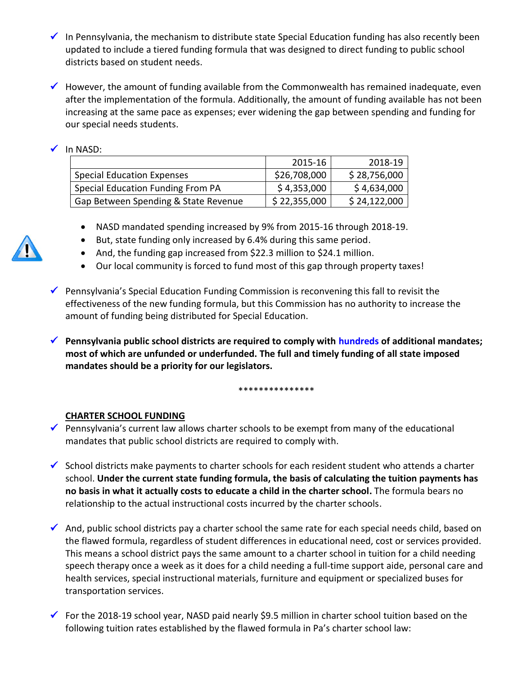- $\checkmark$  In Pennsylvania, the mechanism to distribute state Special Education funding has also recently been updated to include a tiered funding formula that was designed to direct funding to public school districts based on student needs.
- $\checkmark$  However, the amount of funding available from the Commonwealth has remained inadequate, even after the implementation of the formula. Additionally, the amount of funding available has not been increasing at the same pace as expenses; ever widening the gap between spending and funding for our special needs students.

# $\checkmark$  In NASD:

|                                      | 2015-16      | 2018-19      |
|--------------------------------------|--------------|--------------|
| <b>Special Education Expenses</b>    | \$26,708,000 | \$28,756,000 |
| Special Education Funding From PA    | \$4,353,000  | \$4,634,000  |
| Gap Between Spending & State Revenue | \$22,355,000 | \$24,122,000 |

- NASD mandated spending increased by 9% from 2015-16 through 2018-19.
- But, state funding only increased by 6.4% during this same period.
- And, the funding gap increased from \$22.3 million to \$24.1 million.
- Our local community is forced to fund most of this gap through property taxes!
- Pennsylvania's Special Education Funding Commission is reconvening this fall to revisit the effectiveness of the new funding formula, but this Commission has no authority to increase the amount of funding being distributed for Special Education.
- **Pennsylvania public school districts are required to comply with hundreds of additional mandates; most of which are unfunded or underfunded. The full and timely funding of all state imposed mandates should be a priority for our legislators.**

\*\*\*\*\*\*\*\*\*\*\*\*\*\*\*

# **CHARTER SCHOOL FUNDING**

- Pennsylvania's current law allows charter schools to be exempt from many of the educational mandates that public school districts are required to comply with.
- $\checkmark$  School districts make payments to charter schools for each resident student who attends a charter school. **Under the current state funding formula, the basis of calculating the tuition payments has no basis in what it actually costs to educate a child in the charter school.** The formula bears no relationship to the actual instructional costs incurred by the charter schools.
- And, public school districts pay a charter school the same rate for each special needs child, based on the flawed formula, regardless of student differences in educational need, cost or services provided. This means a school district pays the same amount to a charter school in tuition for a child needing speech therapy once a week as it does for a child needing a full-time support aide, personal care and health services, special instructional materials, furniture and equipment or specialized buses for transportation services.
- For the 2018-19 school year, NASD paid nearly \$9.5 million in charter school tuition based on the following tuition rates established by the flawed formula in Pa's charter school law:

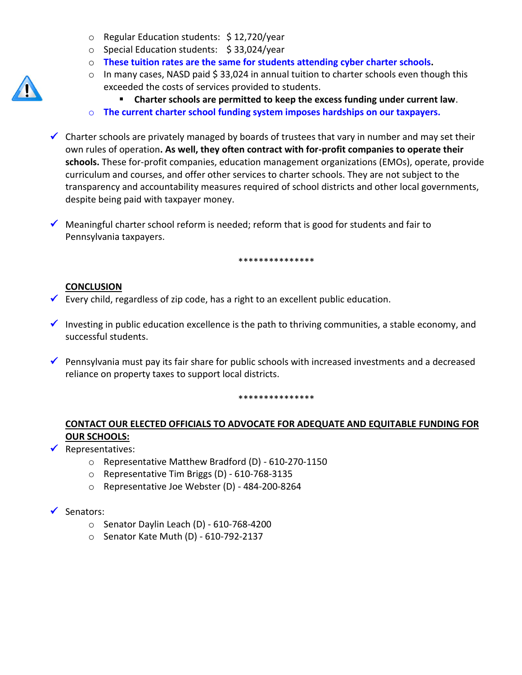- o Regular Education students: \$ 12,720/year
- o Special Education students: \$ 33,024/year
- o **These tuition rates are the same for students attending cyber charter schools.**
- o In many cases, NASD paid \$33,024 in annual tuition to charter schools even though this exceeded the costs of services provided to students.
	- **Charter schools are permitted to keep the excess funding under current law**.
- o **The current charter school funding system imposes hardships on our taxpayers.**
- Charter schools are privately managed by boards of trustees that vary in number and may set their own rules of operation**. As well, they often contract with for-profit companies to operate their schools.** These for-profit companies, education management organizations (EMOs), operate, provide curriculum and courses, and offer other services to charter schools. They are not subject to the transparency and accountability measures required of school districts and other local governments, despite being paid with taxpayer money.
- $\checkmark$  Meaningful charter school reform is needed; reform that is good for students and fair to Pennsylvania taxpayers.

\*\*\*\*\*\*\*\*\*\*\*\*\*\*\*

### **CONCLUSION**

- Every child, regardless of zip code, has a right to an excellent public education.
- Investing in public education excellence is the path to thriving communities, a stable economy, and successful students.
- **Pennsylvania must pay its fair share for public schools with increased investments and a decreased** reliance on property taxes to support local districts.

\*\*\*\*\*\*\*\*\*\*\*\*\*\*\*

# **CONTACT OUR ELECTED OFFICIALS TO ADVOCATE FOR ADEQUATE AND EQUITABLE FUNDING FOR OUR SCHOOLS:**

### $\sqrt{\phantom{a}}$  Representatives:

- o Representative Matthew Bradford (D) 610-270-1150
- o Representative Tim Briggs (D) 610-768-3135
- o Representative Joe Webster (D) 484-200-8264

### $\checkmark$  Senators:

- o Senator Daylin Leach (D) 610-768-4200
- o Senator Kate Muth (D) 610-792-2137